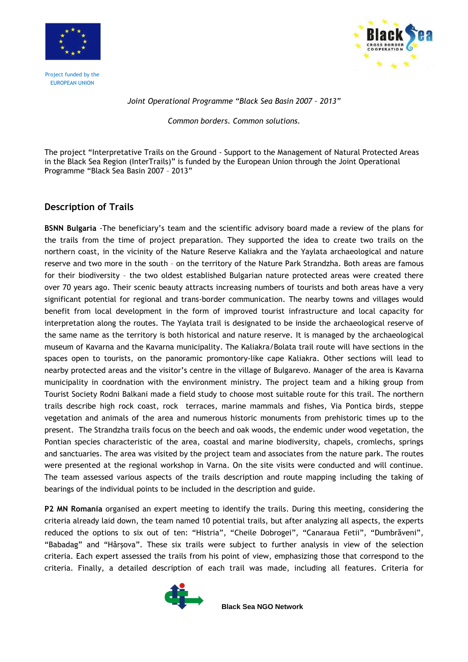



## Joint Operational Programme "Black Sea Basin 2007 – 2013"

Common borders. Common solutions.

The project "Interpretative Trails on the Ground - Support to the Management of Natural Protected Areas in the Black Sea Region (InterTrails)" is funded by the European Union through the Joint Operational Programme "Black Sea Basin 2007 – 2013"

# Description of Trails

BSNN Bulgaria -The beneficiary's team and the scientific advisory board made a review of the plans for the trails from the time of project preparation. They supported the idea to create two trails on the northern coast, in the vicinity of the Nature Reserve Kaliakra and the Yaylata archaeological and nature reserve and two more in the south – on the territory of the Nature Park Strandzha. Both areas are famous for their biodiversity – the two oldest established Bulgarian nature protected areas were created there over 70 years ago. Their scenic beauty attracts increasing numbers of tourists and both areas have a very significant potential for regional and trans-border communication. The nearby towns and villages would benefit from local development in the form of improved tourist infrastructure and local capacity for interpretation along the routes. The Yaylata trail is designated to be inside the archaeological reserve of the same name as the territory is both historical and nature reserve. It is managed by the archaeological museum of Kavarna and the Kavarna municipality. The Kaliakra/Bolata trail route will have sections in the spaces open to tourists, on the panoramic promontory-like cape Kaliakra. Other sections will lead to nearby protected areas and the visitor's centre in the village of Bulgarevo. Manager of the area is Kavarna municipality in coordnation with the environment ministry. The project team and a hiking group from Tourist Society Rodni Balkani made a field study to choose most suitable route for this trail. The northern trails describe high rock coast, rock terraces, marine mammals and fishes, Via Pontica birds, steppe vegetation and animals of the area and numerous historic monuments from prehistoric times up to the present. The Strandzha trails focus on the beech and oak woods, the endemic under wood vegetation, the Pontian species characteristic of the area, coastal and marine biodiversity, chapels, cromlechs, springs and sanctuaries. The area was visited by the project team and associates from the nature park. The routes were presented at the regional workshop in Varna. On the site visits were conducted and will continue. The team assessed various aspects of the trails description and route mapping including the taking of bearings of the individual points to be included in the description and guide.

P2 MN Romania organised an expert meeting to identify the trails. During this meeting, considering the criteria already laid down, the team named 10 potential trails, but after analyzing all aspects, the experts reduced the options to six out of ten: "Histria", "Cheile Dobrogei", "Canaraua Fetii", "Dumbrăveni", "Babadag" and "Hârşova". These six trails were subject to further analysis in view of the selection criteria. Each expert assessed the trails from his point of view, emphasizing those that correspond to the criteria. Finally, a detailed description of each trail was made, including all features. Criteria for



**Black Sea NGO Network**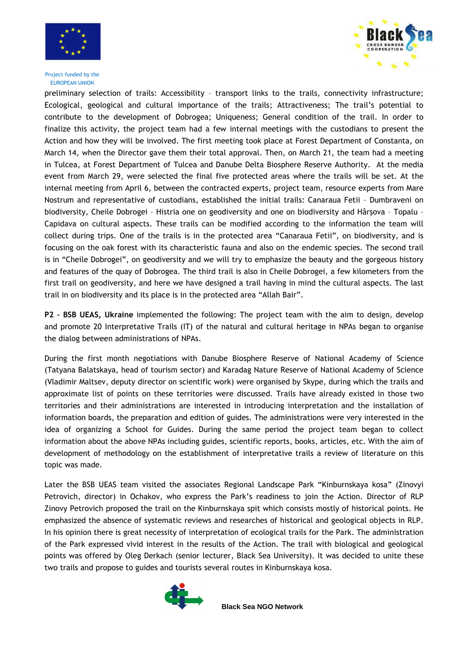



preliminary selection of trails: Accessibility – transport links to the trails, connectivity infrastructure; Ecological, geological and cultural importance of the trails; Attractiveness; The trail's potential to contribute to the development of Dobrogea; Uniqueness; General condition of the trail. In order to finalize this activity, the project team had a few internal meetings with the custodians to present the Action and how they will be involved. The first meeting took place at Forest Department of Constanta, on March 14, when the Director gave them their total approval. Then, on March 21, the team had a meeting in Tulcea, at Forest Department of Tulcea and Danube Delta Biosphere Reserve Authority. At the media event from March 29, were selected the final five protected areas where the trails will be set. At the internal meeting from April 6, between the contracted experts, project team, resource experts from Mare Nostrum and representative of custodians, established the initial trails: Canaraua Fetii – Dumbraveni on biodiversity, Cheile Dobrogei – Histria one on geodiversity and one on biodiversity and Hârşova – Topalu – Capidava on cultural aspects. These trails can be modified according to the information the team will collect during trips. One of the trails is in the protected area "Canaraua Fetii", on biodiversity, and is focusing on the oak forest with its characteristic fauna and also on the endemic species. The second trail is in "Cheile Dobrogei", on geodiversity and we will try to emphasize the beauty and the gorgeous history and features of the quay of Dobrogea. The third trail is also in Cheile Dobrogei, a few kilometers from the first trail on geodiversity, and here we have designed a trail having in mind the cultural aspects. The last trail in on biodiversity and its place is in the protected area "Allah Bair".

P2 – BSB UEAS, Ukraine implemented the following: The project team with the aim to design, develop and promote 20 Interpretative Trails (IT) of the natural and cultural heritage in NPAs began to organise the dialog between administrations of NPAs.

During the first month negotiations with Danube Biosphere Reserve of National Academy of Science (Tatyana Balatskaya, head of tourism sector) and Karadag Nature Reserve of National Academy of Science (Vladimir Maltsev, deputy director on scientific work) were organised by Skype, during which the trails and approximate list of points on these territories were discussed. Trails have already existed in those two territories and their administrations are interested in introducing interpretation and the installation of information boards, the preparation and edition of guides. The administrations were very interested in the idea of organizing a School for Guides. During the same period the project team began to collect information about the above NPAs including guides, scientific reports, books, articles, etc. With the aim of development of methodology on the establishment of interpretative trails a review of literature on this topic was made.

Later the BSB UEAS team visited the associates Regional Landscape Park "Kinburnskaya kosa" (Zinovyi Petrovich, director) in Ochakov, who express the Park's readiness to join the Action. Director of RLP Zinovy Petrovich proposed the trail on the Kinburnskaya spit which consists mostly of historical points. He emphasized the absence of systematic reviews and researches of historical and geological objects in RLP. In his opinion there is great necessity of interpretation of ecological trails for the Park. The administration of the Park expressed vivid interest in the results of the Action. The trail with biological and geological points was offered by Oleg Derkach (senior lecturer, Black Sea University). It was decided to unite these two trails and propose to guides and tourists several routes in Kinburnskaya kosa.

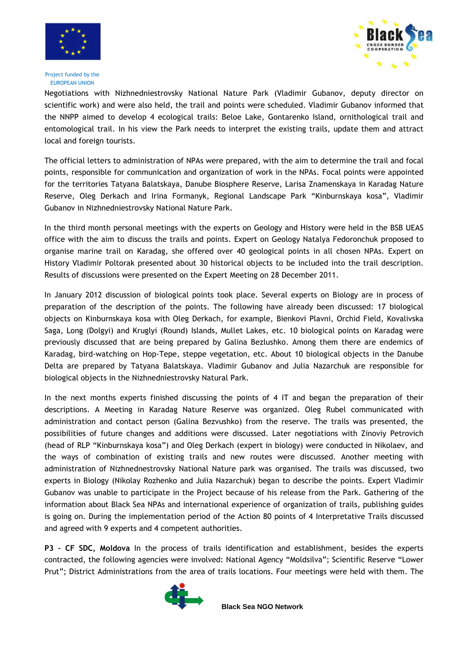





Negotiations with Nizhnedniestrovsky National Nature Park (Vladimir Gubanov, deputy director on scientific work) and were also held, the trail and points were scheduled. Vladimir Gubanov informed that the NNPP aimed to develop 4 ecological trails: Beloe Lake, Gontarenko Island, ornithological trail and entomological trail. In his view the Park needs to interpret the existing trails, update them and attract local and foreign tourists.

The official letters to administration of NPAs were prepared, with the aim to determine the trail and focal points, responsible for communication and organization of work in the NPAs. Focal points were appointed for the territories Tatyana Balatskaya, Danube Biosphere Reserve, Larisa Znamenskaya in Karadag Nature Reserve, Oleg Derkach and Irina Formanyk, Regional Landscape Park "Kinburnskaya kosa", Vladimir Gubanov in Nizhnedniestrovsky National Nature Park.

In the third month personal meetings with the experts on Geology and History were held in the BSB UEAS office with the aim to discuss the trails and points. Expert on Geology Natalya Fedoronchuk proposed to organise marine trail on Karadag, she offered over 40 geological points in all chosen NPAs. Expert on History Vladimir Poltorak presented about 30 historical objects to be included into the trail description. Results of discussions were presented on the Expert Meeting on 28 December 2011.

In January 2012 discussion of biological points took place. Several experts on Biology are in process of preparation of the description of the points. The following have already been discussed: 17 biological objects on Kinburnskaya kosa with Oleg Derkach, for example, Bienkovi Plavni, Orchid Field, Kovalivska Saga, Long (Dolgyi) and Kruglyi (Round) Islands, Mullet Lakes, etc. 10 biological points on Karadag were previously discussed that are being prepared by Galina Bezlushko. Among them there are endemics of Karadag, bird-watching on Hop-Tepe, steppe vegetation, etc. About 10 biological objects in the Danube Delta are prepared by Tatyana Balatskaya. Vladimir Gubanov and Julia Nazarchuk are responsible for biological objects in the Nizhnedniestrovsky Natural Park.

In the next months experts finished discussing the points of 4 IT and began the preparation of their descriptions. A Meeting in Karadag Nature Reserve was organized. Oleg Rubel communicated with administration and contact person (Galina Bezvushko) from the reserve. The trails was presented, the possibilities of future changes and additions were discussed. Later negotiations with Zinoviy Petrovich (head of RLP "Kinburnskaya kosa") and Oleg Derkach (expert in biology) were conducted in Nikolaev, and the ways of combination of existing trails and new routes were discussed. Another meeting with administration of Nizhnednestrovsky National Nature park was organised. The trails was discussed, two experts in Biology (Nikolay Rozhenko and Julia Nazarchuk) began to describe the points. Expert Vladimir Gubanov was unable to participate in the Project because of his release from the Park. Gathering of the information about Black Sea NPAs and international experience of organization of trails, publishing guides is going on. During the implementation period of the Action 80 points of 4 Interpretative Trails discussed and agreed with 9 experts and 4 competent authorities.

P3 – CF SDC, Moldova In the process of trails identification and establishment, besides the experts contracted, the following agencies were involved: National Agency "Moldsilva"; Scientific Reserve "Lower Prut"; District Administrations from the area of trails locations. Four meetings were held with them. The



**Black Sea NGO Network**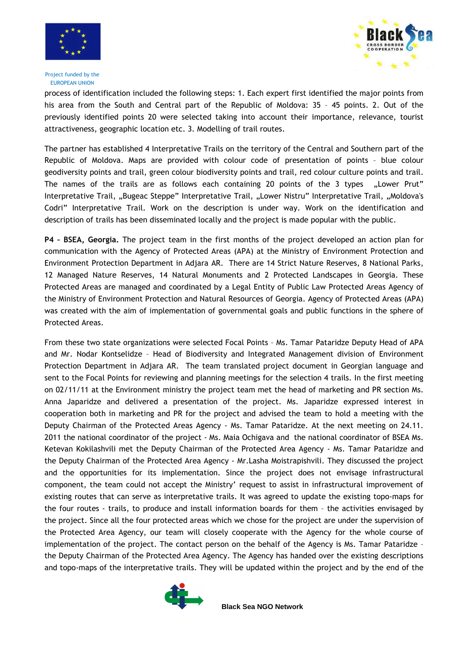



process of identification included the following steps: 1. Each expert first identified the major points from his area from the South and Central part of the Republic of Moldova: 35 - 45 points. 2. Out of the previously identified points 20 were selected taking into account their importance, relevance, tourist attractiveness, geographic location etc. 3. Modelling of trail routes.

The partner has established 4 Interpretative Trails on the territory of the Central and Southern part of the Republic of Moldova. Maps are provided with colour code of presentation of points – blue colour geodiversity points and trail, green colour biodiversity points and trail, red colour culture points and trail. The names of the trails are as follows each containing 20 points of the 3 types "Lower Prut" Interpretative Trail, "Bugeac Steppe" Interpretative Trail, "Lower Nistru" Interpretative Trail, "Moldova's Codri" Interpretative Trail. Work on the description is under way. Work on the identification and description of trails has been disseminated locally and the project is made popular with the public.

P4 – BSEA, Georgia. The project team in the first months of the project developed an action plan for communication with the Agency of Protected Areas (APA) at the Ministry of Environment Protection and Environment Protection Department in Adjara AR. There are 14 Strict Nature Reserves, 8 National Parks, 12 Managed Nature Reserves, 14 Natural Monuments and 2 Protected Landscapes in Georgia. These Protected Areas are managed and coordinated by a Legal Entity of Public Law Protected Areas Agency of the Ministry of Environment Protection and Natural Resources of Georgia. Agency of Protected Areas (APA) was created with the aim of implementation of governmental goals and public functions in the sphere of Protected Areas.

From these two state organizations were selected Focal Points – Ms. Tamar Pataridze Deputy Head of APA and Mr. Nodar Kontselidze – Head of Biodiversity and Integrated Management division of Environment Protection Department in Adjara AR. The team translated project document in Georgian language and sent to the Focal Points for reviewing and planning meetings for the selection 4 trails. In the first meeting on 02/11/11 at the Environment ministry the project team met the head of marketing and PR section Ms. Anna Japaridze and delivered a presentation of the project. Ms. Japaridze expressed interest in cooperation both in marketing and PR for the project and advised the team to hold a meeting with the Deputy Chairman of the Protected Areas Agency - Ms. Tamar Pataridze. At the next meeting on 24.11. 2011 the national coordinator of the project - Ms. Maia Ochigava and the national coordinator of BSEA Ms. Ketevan Kokilashvili met the Deputy Chairman of the Protected Area Agency - Ms. Tamar Pataridze and the Deputy Chairman of the Protected Area Agency - Mr.Lasha Moistrapishvili. They discussed the project and the opportunities for its implementation. Since the project does not envisage infrastructural component, the team could not accept the Ministry' request to assist in infrastructural improvement of existing routes that can serve as interpretative trails. It was agreed to update the existing topo-maps for the four routes - trails, to produce and install information boards for them – the activities envisaged by the project. Since all the four protected areas which we chose for the project are under the supervision of the Protected Area Agency, our team will closely cooperate with the Agency for the whole course of implementation of the project. The contact person on the behalf of the Agency is Ms. Tamar Pataridze – the Deputy Chairman of the Protected Area Agency. The Agency has handed over the existing descriptions and topo-maps of the interpretative trails. They will be updated within the project and by the end of the



**Black Sea NGO Network**